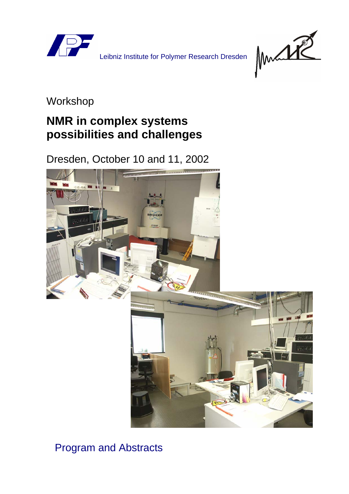

Leibniz Institute for Polymer Research Dresden



## Workshop

# **NMR in complex systems possibilities and challenges**

Dresden, October 10 and 11, 2002



## Program and Abstracts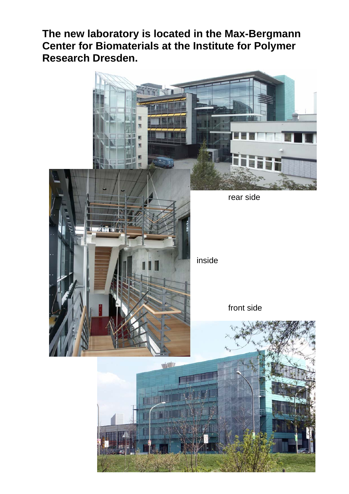**The new laboratory is located in the Max-Bergmann Center for Biomaterials at the Institute for Polymer Research Dresden.** 

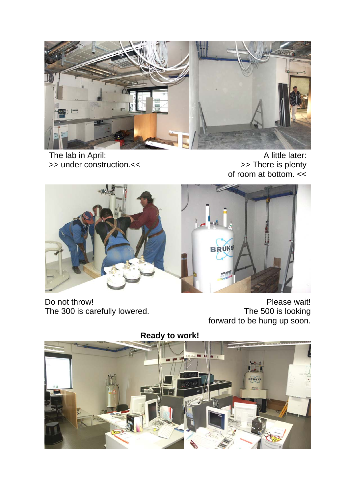

The lab in April: >> under construction.<<

A little later: >> There is plenty of room at bottom. <<



Do not throw! The 300 is carefully lowered.

Please wait! The 500 is looking forward to be hung up soon.

**Ready to work!** 

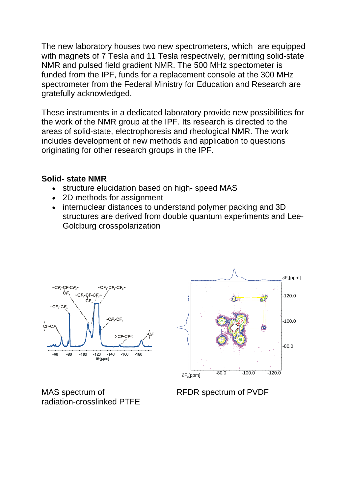The new laboratory houses two new spectrometers, which are equipped with magnets of 7 Tesla and 11 Tesla respectively, permitting solid-state NMR and pulsed field gradient NMR. The 500 MHz spectometer is funded from the IPF, funds for a replacement console at the 300 MHz spectrometer from the Federal Ministry for Education and Research are gratefully acknowledged.

These instruments in a dedicated laboratory provide new possibilities for the work of the NMR group at the IPF. Its research is directed to the areas of solid-state, electrophoresis and rheological NMR. The work includes development of new methods and application to questions originating for other research groups in the IPF.

#### **Solid- state NMR**

- structure elucidation based on high- speed MAS
- 2D methods for assignment
- internuclear distances to understand polymer packing and 3D structures are derived from double quantum experiments and Lee-Goldburg crosspolarization



MAS spectrum of radiation-crosslinked PTFE



RFDR spectrum of PVDF